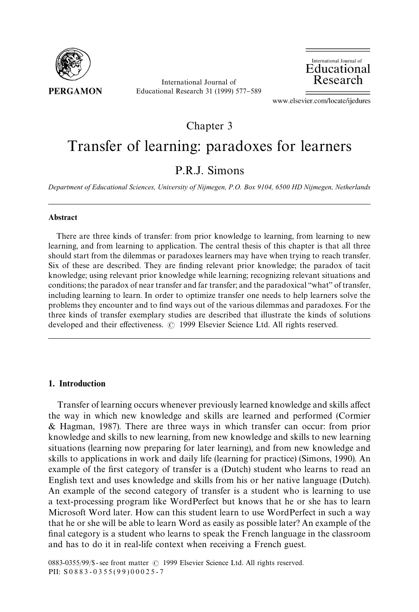

International Journal of Educational Research 31 (1999) 577-589



www.elsevier.com/locate/ijedures

Chapter 3

# Transfer of learning: paradoxes for learners

# P.R.J. Simons

*Department of Educational Sciences, University of Nijmegen, P.O. Box 9104, 6500 HD Nijmegen, Netherlands*

#### Abstract

There are three kinds of transfer: from prior knowledge to learning, from learning to new learning, and from learning to application. The central thesis of this chapter is that all three should start from the dilemmas or paradoxes learners may have when trying to reach transfer. Six of these are described. They are finding relevant prior knowledge; the paradox of tacit knowledge; using relevant prior knowledge while learning; recognizing relevant situations and conditions; the paradox of near transfer and far transfer; and the paradoxical "what" of transfer, including learning to learn. In order to optimize transfer one needs to help learners solve the problems they encounter and to find ways out of the various dilemmas and paradoxes. For the three kinds of transfer exemplary studies are described that illustrate the kinds of solutions developed and their effectiveness. (C) 1999 Elsevier Science Ltd. All rights reserved.

### 1. Introduction

Transfer of learning occurs whenever previously learned knowledge and skills affect the way in which new knowledge and skills are learned and performed (Cormier & Hagman, 1987). There are three ways in which transfer can occur: from prior knowledge and skills to new learning, from new knowledge and skills to new learning situations (learning now preparing for later learning), and from new knowledge and skills to applications in work and daily life (learning for practice) (Simons, 1990). An example of the first category of transfer is a (Dutch) student who learns to read an English text and uses knowledge and skills from his or her native language (Dutch). An example of the second category of transfer is a student who is learning to use a text-processing program like WordPerfect but knows that he or she has to learn Microsoft Word later. How can this student learn to use WordPerfect in such a way that he or she will be able to learn Word as easily as possible later? An example of the final category is a student who learns to speak the French language in the classroom and has to do it in real-life context when receiving a French guest.

0883-0355/99/\$ - see front matter © 1999 Elsevier Science Ltd. All rights reserved. PII:  $$0883 - 0355(99)00025 - 7$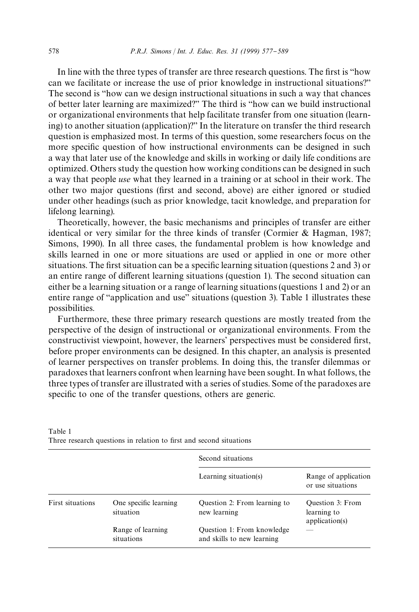In line with the three types of transfer are three research questions. The first is "how can we facilitate or increase the use of prior knowledge in instructional situations?" The second is "how can we design instructional situations in such a way that chances of better later learning are maximized?" The third is "how can we build instructional or organizational environments that help facilitate transfer from one situation (learning) to another situation (application)?" In the literature on transfer the third research question is emphasized most. In terms of this question, some researchers focus on the more specific question of how instructional environments can be designed in such a way that later use of the knowledge and skills in working or daily life conditions are optimized. Others study the question how working conditions can be designed in such a way that people *use* what they learned in a training or at school in their work. The other two major questions (first and second, above) are either ignored or studied under other headings (such as prior knowledge, tacit knowledge, and preparation for lifelong learning).

Theoretically, however, the basic mechanisms and principles of transfer are either identical or very similar for the three kinds of transfer (Cormier & Hagman, 1987; Simons, 1990). In all three cases, the fundamental problem is how knowledge and skills learned in one or more situations are used or applied in one or more other situations. The first situation can be a specific learning situation (questions  $2$  and  $3$ ) or an entire range of different learning situations (question 1). The second situation can either be a learning situation or a range of learning situations (questions 1 and 2) or an entire range of "application and use" situations (question 3). Table 1 illustrates these possibilities.

Furthermore, these three primary research questions are mostly treated from the perspective of the design of instructional or organizational environments. From the constructivist viewpoint, however, the learners' perspectives must be considered first, before proper environments can be designed. In this chapter, an analysis is presented of learner perspectives on transfer problems. In doing this, the transfer dilemmas or paradoxes that learners confront when learning have been sought. In what follows, the three types of transfer are illustrated with a series of studies. Some of the paradoxes are specific to one of the transfer questions, others are generic.

|                  |                                    | Second situations                                        |                                                   |  |  |  |  |
|------------------|------------------------------------|----------------------------------------------------------|---------------------------------------------------|--|--|--|--|
|                  |                                    | Learning situation(s)                                    | Range of application<br>or use situations         |  |  |  |  |
| First situations | One specific learning<br>situation | Question 2: From learning to<br>new learning             | Question 3: From<br>learning to<br>application(s) |  |  |  |  |
|                  | Range of learning<br>situations    | Question 1: From knowledge<br>and skills to new learning |                                                   |  |  |  |  |

| Table 1 |                                                                     |  |  |  |  |
|---------|---------------------------------------------------------------------|--|--|--|--|
|         | Three research questions in relation to first and second situations |  |  |  |  |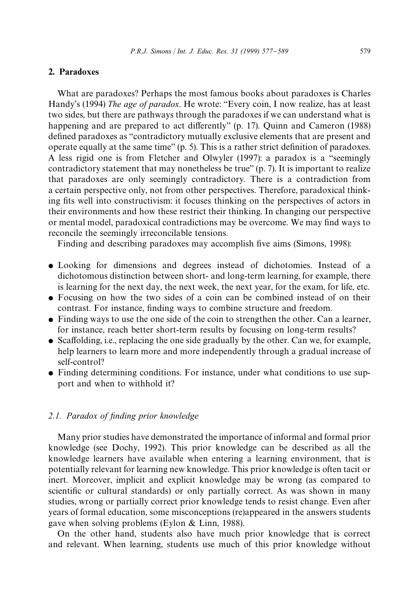# 2. Paradoxes

What are paradoxes? Perhaps the most famous books about paradoxes is Charles Handy's (1994) *The age of paradox*. He wrote: "Every coin, I now realize, has at least two sides, but there are pathways through the paradoxes if we can understand what is happening and are prepared to act differently" (p. 17). Quinn and Cameron (1988) defined paradoxes as "contradictory mutually exclusive elements that are present and operate equally at the same time"  $(p. 5)$ . This is a rather strict definition of paradoxes. A less rigid one is from Fletcher and Olwyler (1997): a paradox is a "seemingly contradictory statement that may nonetheless be true"  $(p, 7)$ . It is important to realize that paradoxes are only seemingly contradictory. There is a contradiction from a certain perspective only, not from other perspectives. Therefore, paradoxical thinking fits well into constructivism: it focuses thinking on the perspectives of actors in their environments and how these restrict their thinking. In changing our perspective or mental model, paradoxical contradictions may be overcome. We may find ways to reconcile the seemingly irreconcilable tensions.

Finding and describing paradoxes may accomplish five aims (Simons, 1998):

- Looking for dimensions and degrees instead of dichotomies. Instead of a dichotomous distinction between short- and long-term learning, for example, there is learning for the next day, the next week, the next year, for the exam, for life, etc.
- Focusing on how the two sides of a coin can be combined instead of on their contrast. For instance, finding ways to combine structure and freedom.
- $\bullet$  Finding ways to use the one side of the coin to strengthen the other. Can a learner, for instance, reach better short-term results by focusing on long-term results?
- $\bullet$  Scaffolding, i.e., replacing the one side gradually by the other. Can we, for example, help learners to learn more and more independently through a gradual increase of self-control?
- Finding determining conditions. For instance, under what conditions to use support and when to withhold it?

# 2.1. Paradox of finding prior knowledge

Many prior studies have demonstrated the importance of informal and formal prior knowledge (see Dochy, 1992). This prior knowledge can be described as all the knowledge learners have available when entering a learning environment, that is potentially relevant for learning new knowledge. This prior knowledge is often tacit or inert. Moreover, implicit and explicit knowledge may be wrong (as compared to scientific or cultural standards) or only partially correct. As was shown in many studies, wrong or partially correct prior knowledge tends to resist change. Even after years of formal education, some misconceptions (re)appeared in the answers students gave when solving problems (Eylon & Linn, 1988).

On the other hand, students also have much prior knowledge that is correct and relevant. When learning, students use much of this prior knowledge without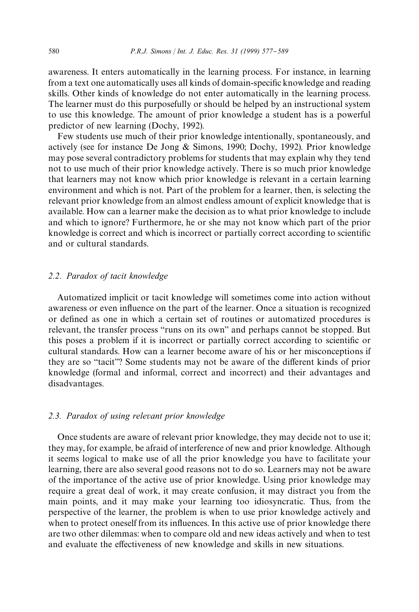awareness. It enters automatically in the learning process. For instance, in learning from a text one automatically uses all kinds of domain-specific knowledge and reading skills. Other kinds of knowledge do not enter automatically in the learning process. The learner must do this purposefully or should be helped by an instructional system to use this knowledge. The amount of prior knowledge a student has is a powerful predictor of new learning (Dochy, 1992).

Few students use much of their prior knowledge intentionally, spontaneously, and actively (see for instance De Jong & Simons, 1990; Dochy, 1992). Prior knowledge may pose several contradictory problems for students that may explain why they tend not to use much of their prior knowledge actively. There is so much prior knowledge that learners may not know which prior knowledge is relevant in a certain learning environment and which is not. Part of the problem for a learner, then, is selecting the relevant prior knowledge from an almost endless amount of explicit knowledge that is available. How can a learner make the decision as to what prior knowledge to include and which to ignore? Furthermore, he or she may not know which part of the prior knowledge is correct and which is incorrect or partially correct according to scientific and or cultural standards.

#### *2.2. Paradox of tacit knowledge*

Automatized implicit or tacit knowledge will sometimes come into action without awareness or even influence on the part of the learner. Once a situation is recognized or defined as one in which a certain set of routines or automatized procedures is relevant, the transfer process "runs on its own" and perhaps cannot be stopped. But this poses a problem if it is incorrect or partially correct according to scientific or cultural standards. How can a learner become aware of his or her misconceptions if they are so "tacit"? Some students may not be aware of the different kinds of prior knowledge (formal and informal, correct and incorrect) and their advantages and disadvantages.

#### *2.3. Paradox of using relevant prior knowledge*

Once students are aware of relevant prior knowledge, they may decide not to use it; they may, for example, be afraid of interference of new and prior knowledge. Although it seems logical to make use of all the prior knowledge you have to facilitate your learning, there are also several good reasons not to do so. Learners may not be aware of the importance of the active use of prior knowledge. Using prior knowledge may require a great deal of work, it may create confusion, it may distract you from the main points, and it may make your learning too idiosyncratic. Thus, from the perspective of the learner, the problem is when to use prior knowledge actively and when to protect oneself from its influences. In this active use of prior knowledge there are two other dilemmas: when to compare old and new ideas actively and when to test and evaluate the effectiveness of new knowledge and skills in new situations.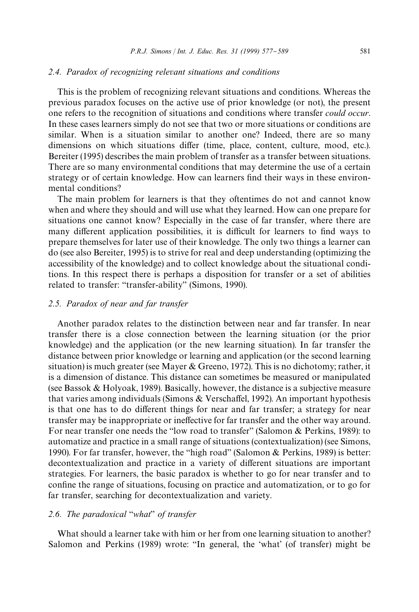#### *2.4. Paradox of recognizing relevant situations and conditions*

This is the problem of recognizing relevant situations and conditions. Whereas the previous paradox focuses on the active use of prior knowledge (or not), the present one refers to the recognition of situations and conditions where transfer *could occur*. In these cases learners simply do not see that two or more situations or conditions are similar. When is a situation similar to another one? Indeed, there are so many dimensions on which situations differ (time, place, content, culture, mood, etc.). Bereiter (1995) describes the main problem of transfer as a transfer between situations. There are so many environmental conditions that may determine the use of a certain strategy or of certain knowledge. How can learners find their ways in these environmental conditions?

The main problem for learners is that they oftentimes do not and cannot know when and where they should and will use what they learned. How can one prepare for situations one cannot know? Especially in the case of far transfer, where there are many different application possibilities, it is difficult for learners to find ways to prepare themselves for later use of their knowledge. The only two things a learner can do (see also Bereiter, 1995) is to strive for real and deep understanding (optimizing the accessibility of the knowledge) and to collect knowledge about the situational conditions. In this respect there is perhaps a disposition for transfer or a set of abilities related to transfer: "transfer-ability" (Simons, 1990).

# *2.5. Paradox of near and far transfer*

Another paradox relates to the distinction between near and far transfer. In near transfer there is a close connection between the learning situation (or the prior knowledge) and the application (or the new learning situation). In far transfer the distance between prior knowledge or learning and application (or the second learning situation) is much greater (see Mayer & Greeno, 1972). This is no dichotomy; rather, it is a dimension of distance. This distance can sometimes be measured or manipulated (see Bassok & Holyoak, 1989). Basically, however, the distance is a subjective measure that varies among individuals (Simons  $&$  Verschaffel, 1992). An important hypothesis is that one has to do different things for near and far transfer; a strategy for near transfer may be inappropriate or ineffective for far transfer and the other way around. For near transfer one needs the "low road to transfer" (Salomon  $&$  Perkins, 1989): to automatize and practice in a small range of situations (contextualization) (see Simons, 1990). For far transfer, however, the "high road" (Salomon  $&$  Perkins, 1989) is better: decontextualization and practice in a variety of different situations are important strategies. For learners, the basic paradox is whether to go for near transfer and to confine the range of situations, focusing on practice and automatization, or to go for far transfer, searching for decontextualization and variety.

# *2.6. The paradoxical* "*what*" *of transfer*

What should a learner take with him or her from one learning situation to another? Salomon and Perkins (1989) wrote: "In general, the 'what' (of transfer) might be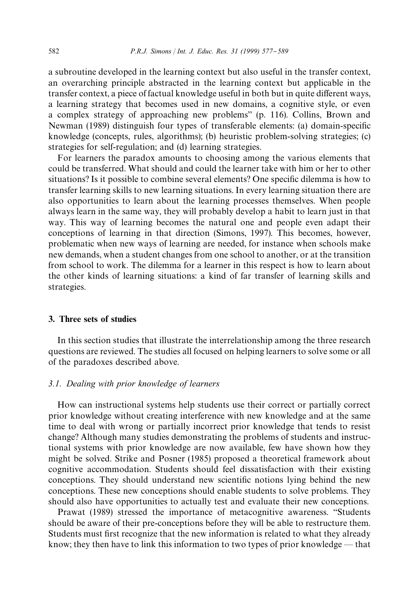a subroutine developed in the learning context but also useful in the transfer context, an overarching principle abstracted in the learning context but applicable in the transfer context, a piece of factual knowledge useful in both but in quite different ways, a learning strategy that becomes used in new domains, a cognitive style, or even a complex strategy of approaching new problems" (p. 116). Collins, Brown and Newman (1989) distinguish four types of transferable elements: (a) domain-specific knowledge (concepts, rules, algorithms); (b) heuristic problem-solving strategies; (c) strategies for self-regulation; and (d) learning strategies.

For learners the paradox amounts to choosing among the various elements that could be transferred. What should and could the learner take with him or her to other situations? Is it possible to combine several elements? One specific dilemma is how to transfer learning skills to new learning situations. In every learning situation there are also opportunities to learn about the learning processes themselves. When people always learn in the same way, they will probably develop a habit to learn just in that way. This way of learning becomes the natural one and people even adapt their conceptions of learning in that direction (Simons, 1997). This becomes, however, problematic when new ways of learning are needed, for instance when schools make new demands, when a student changes from one school to another, or at the transition from school to work. The dilemma for a learner in this respect is how to learn about the other kinds of learning situations: a kind of far transfer of learning skills and strategies.

#### 3. Three sets of studies

In this section studies that illustrate the interrelationship among the three research questions are reviewed. The studies all focused on helping learners to solve some or all of the paradoxes described above.

#### *3.1. Dealing with prior knowledge of learners*

How can instructional systems help students use their correct or partially correct prior knowledge without creating interference with new knowledge and at the same time to deal with wrong or partially incorrect prior knowledge that tends to resist change? Although many studies demonstrating the problems of students and instructional systems with prior knowledge are now available, few have shown how they might be solved. Strike and Posner (1985) proposed a theoretical framework about cognitive accommodation. Students should feel dissatisfaction with their existing conceptions. They should understand new scientific notions lying behind the new conceptions. These new conceptions should enable students to solve problems. They should also have opportunities to actually test and evaluate their new conceptions.

Prawat (1989) stressed the importance of metacognitive awareness. "Students should be aware of their pre-conceptions before they will be able to restructure them. Students must first recognize that the new information is related to what they already know; they then have to link this information to two types of prior knowledge  $-$  that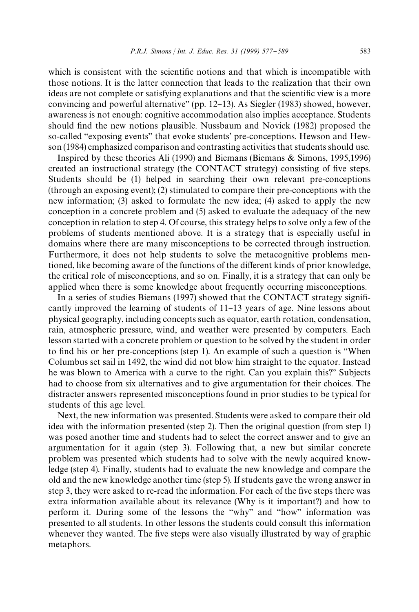which is consistent with the scientific notions and that which is incompatible with those notions. It is the latter connection that leads to the realization that their own ideas are not complete or satisfying explanations and that the scientific view is a more convincing and powerful alternative" (pp.  $12-13$ ). As Siegler (1983) showed, however, awareness is not enough: cognitive accommodation also implies acceptance. Students should find the new notions plausible. Nussbaum and Novick (1982) proposed the so-called "exposing events" that evoke students' pre-conceptions. Hewson and Hewson (1984) emphasized comparison and contrasting activities that students should use.

Inspired by these theories Ali (1990) and Biemans (Biemans & Simons, 1995,1996) created an instructional strategy (the CONTACT strategy) consisting of five steps. Students should be (1) helped in searching their own relevant pre-conceptions (through an exposing event); (2) stimulated to compare their pre-conceptions with the new information; (3) asked to formulate the new idea; (4) asked to apply the new conception in a concrete problem and (5) asked to evaluate the adequacy of the new conception in relation to step 4. Of course, this strategy helps to solve only a few of the problems of students mentioned above. It is a strategy that is especially useful in domains where there are many misconceptions to be corrected through instruction. Furthermore, it does not help students to solve the metacognitive problems mentioned, like becoming aware of the functions of the different kinds of prior knowledge, the critical role of misconceptions, and so on. Finally, it is a strategy that can only be applied when there is some knowledge about frequently occurring misconceptions.

In a series of studies Biemans (1997) showed that the CONTACT strategy significantly improved the learning of students of  $11-13$  years of age. Nine lessons about physical geography, including concepts such as equator, earth rotation, condensation, rain, atmospheric pressure, wind, and weather were presented by computers. Each lesson started with a concrete problem or question to be solved by the student in order to find his or her pre-conceptions (step 1). An example of such a question is "When Columbus set sail in 1492, the wind did not blow him straight to the equator. Instead he was blown to America with a curve to the right. Can you explain this?" Subjects had to choose from six alternatives and to give argumentation for their choices. The distracter answers represented misconceptions found in prior studies to be typical for students of this age level.

Next, the new information was presented. Students were asked to compare their old idea with the information presented (step 2). Then the original question (from step 1) was posed another time and students had to select the correct answer and to give an argumentation for it again (step 3). Following that, a new but similar concrete problem was presented which students had to solve with the newly acquired knowledge (step 4). Finally, students had to evaluate the new knowledge and compare the old and the new knowledge another time (step 5). If students gave the wrong answer in step 3, they were asked to re-read the information. For each of the five steps there was extra information available about its relevance (Why is it important?) and how to perform it. During some of the lessons the "why" and "how" information was presented to all students. In other lessons the students could consult this information whenever they wanted. The five steps were also visually illustrated by way of graphic metaphors.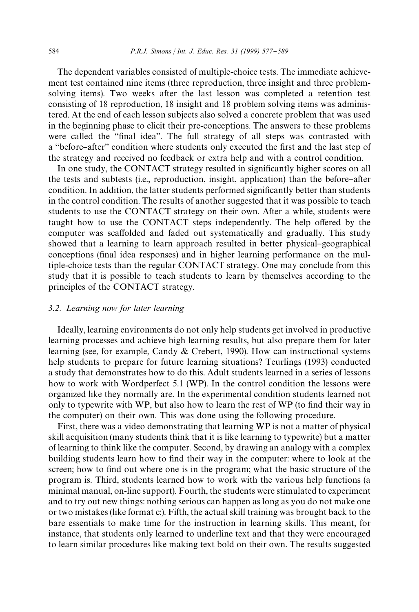The dependent variables consisted of multiple-choice tests. The immediate achievement test contained nine items (three reproduction, three insight and three problemsolving items). Two weeks after the last lesson was completed a retention test consisting of 18 reproduction, 18 insight and 18 problem solving items was administered. At the end of each lesson subjects also solved a concrete problem that was used in the beginning phase to elicit their pre-conceptions. The answers to these problems were called the "final idea". The full strategy of all steps was contrasted with a "before–after" condition where students only executed the first and the last step of the strategy and received no feedback or extra help and with a control condition.

In one study, the CONTACT strategy resulted in significantly higher scores on all the tests and subtests (i.e., reproduction, insight, application) than the before-after condition. In addition, the latter students performed significantly better than students in the control condition. The results of another suggested that it was possible to teach students to use the CONTACT strategy on their own. After a while, students were taught how to use the CONTACT steps independently. The help offered by the computer was scaffolded and faded out systematically and gradually. This study showed that a learning to learn approach resulted in better physical-geographical conceptions (final idea responses) and in higher learning performance on the multiple-choice tests than the regular CONTACT strategy. One may conclude from this study that it is possible to teach students to learn by themselves according to the principles of the CONTACT strategy.

#### *3.2. Learning now for later learning*

Ideally, learning environments do not only help students get involved in productive learning processes and achieve high learning results, but also prepare them for later learning (see, for example, Candy & Crebert, 1990). How can instructional systems help students to prepare for future learning situations? Teurlings (1993) conducted a study that demonstrates how to do this. Adult students learned in a series of lessons how to work with Wordperfect 5.1 (WP). In the control condition the lessons were organized like they normally are. In the experimental condition students learned not only to typewrite with  $WP$ , but also how to learn the rest of  $WP$  (to find their way in the computer) on their own. This was done using the following procedure.

First, there was a video demonstrating that learning WP is not a matter of physical skill acquisition (many students think that it is like learning to typewrite) but a matter of learning to think like the computer. Second, by drawing an analogy with a complex building students learn how to find their way in the computer: where to look at the screen; how to find out where one is in the program; what the basic structure of the program is. Third, students learned how to work with the various help functions (a minimal manual, on-line support). Fourth, the students were stimulated to experiment and to try out new things: nothing serious can happen as long as you do not make one or two mistakes (like format c:). Fifth, the actual skill training was brought back to the bare essentials to make time for the instruction in learning skills. This meant, for instance, that students only learned to underline text and that they were encouraged to learn similar procedures like making text bold on their own. The results suggested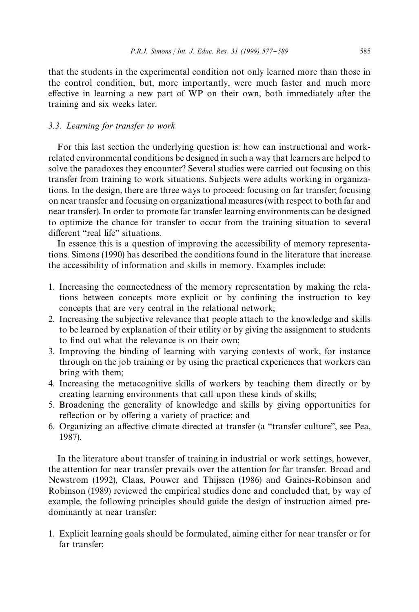that the students in the experimental condition not only learned more than those in the control condition, but, more importantly, were much faster and much more effective in learning a new part of WP on their own, both immediately after the training and six weeks later.

#### *3.3. Learning for transfer to work*

For this last section the underlying question is: how can instructional and workrelated environmental conditions be designed in such a way that learners are helped to solve the paradoxes they encounter? Several studies were carried out focusing on this transfer from training to work situations. Subjects were adults working in organizations. In the design, there are three ways to proceed: focusing on far transfer; focusing on near transfer and focusing on organizational measures (with respect to both far and near transfer). In order to promote far transfer learning environments can be designed to optimize the chance for transfer to occur from the training situation to several different "real life" situations.

In essence this is a question of improving the accessibility of memory representations. Simons (1990) has described the conditions found in the literature that increase the accessibility of information and skills in memory. Examples include:

- 1. Increasing the connectedness of the memory representation by making the relations between concepts more explicit or by confining the instruction to key concepts that are very central in the relational network;
- 2. Increasing the subjective relevance that people attach to the knowledge and skills to be learned by explanation of their utility or by giving the assignment to students to find out what the relevance is on their own;
- 3. Improving the binding of learning with varying contexts of work, for instance through on the job training or by using the practical experiences that workers can bring with them;
- 4. Increasing the metacognitive skills of workers by teaching them directly or by creating learning environments that call upon these kinds of skills;
- 5. Broadening the generality of knowledge and skills by giving opportunities for reflection or by offering a variety of practice; and
- 6. Organizing an affective climate directed at transfer (a "transfer culture", see Pea, 1987).

In the literature about transfer of training in industrial or work settings, however, the attention for near transfer prevails over the attention for far transfer. Broad and Newstrom (1992), Claas, Pouwer and Thijssen (1986) and Gaines-Robinson and Robinson (1989) reviewed the empirical studies done and concluded that, by way of example, the following principles should guide the design of instruction aimed predominantly at near transfer:

1. Explicit learning goals should be formulated, aiming either for near transfer or for far transfer;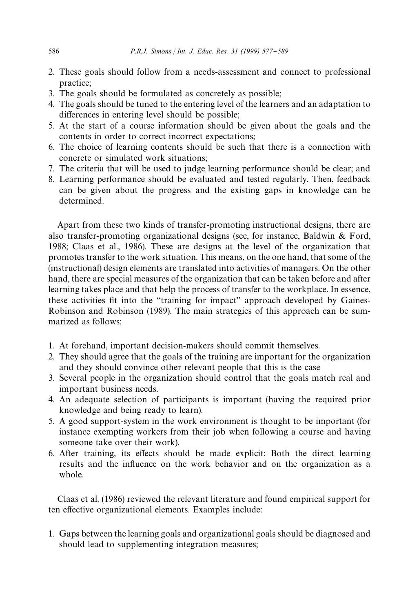- 2. These goals should follow from a needs-assessment and connect to professional practice;
- 3. The goals should be formulated as concretely as possible;
- 4. The goals should be tuned to the entering level of the learners and an adaptation to differences in entering level should be possible;
- 5. At the start of a course information should be given about the goals and the contents in order to correct incorrect expectations;
- 6. The choice of learning contents should be such that there is a connection with concrete or simulated work situations;
- 7. The criteria that will be used to judge learning performance should be clear; and
- 8. Learning performance should be evaluated and tested regularly. Then, feedback can be given about the progress and the existing gaps in knowledge can be determined.

Apart from these two kinds of transfer-promoting instructional designs, there are also transfer-promoting organizational designs (see, for instance, Baldwin & Ford, 1988; Claas et al., 1986). These are designs at the level of the organization that promotes transfer to the work situation. This means, on the one hand, that some of the (instructional) design elements are translated into activities of managers. On the other hand, there are special measures of the organization that can be taken before and after learning takes place and that help the process of transfer to the workplace. In essence, these activities fit into the "training for impact" approach developed by Gaines-Robinson and Robinson (1989). The main strategies of this approach can be summarized as follows:

- 1. At forehand, important decision-makers should commit themselves.
- 2. They should agree that the goals of the training are important for the organization and they should convince other relevant people that this is the case
- 3. Several people in the organization should control that the goals match real and important business needs.
- 4. An adequate selection of participants is important (having the required prior knowledge and being ready to learn).
- 5. A good support-system in the work environment is thought to be important (for instance exempting workers from their job when following a course and having someone take over their work).
- 6. After training, its effects should be made explicit: Both the direct learning results and the influence on the work behavior and on the organization as a whole.

Claas et al. (1986) reviewed the relevant literature and found empirical support for ten effective organizational elements. Examples include:

1. Gaps between the learning goals and organizational goals should be diagnosed and should lead to supplementing integration measures;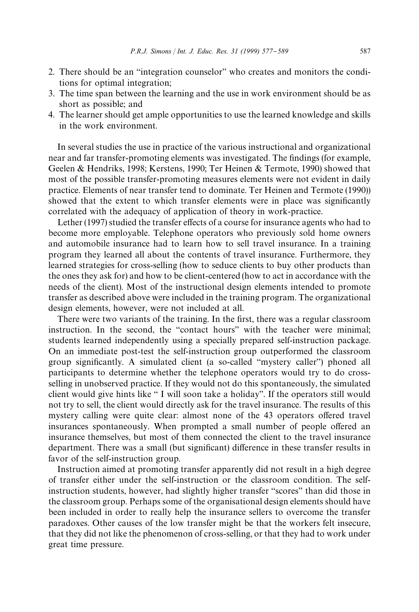- 2. There should be an "integration counselor" who creates and monitors the conditions for optimal integration;
- 3. The time span between the learning and the use in work environment should be as short as possible; and
- 4. The learner should get ample opportunities to use the learned knowledge and skills in the work environment.

In several studies the use in practice of the various instructional and organizational near and far transfer-promoting elements was investigated. The findings (for example, Geelen & Hendriks, 1998; Kerstens, 1990; Ter Heinen & Termote, 1990) showed that most of the possible transfer-promoting measures elements were not evident in daily practice. Elements of near transfer tend to dominate. Ter Heinen and Termote (1990)) showed that the extent to which transfer elements were in place was significantly correlated with the adequacy of application of theory in work-practice.

Lether  $(1997)$  studied the transfer effects of a course for insurance agents who had to become more employable. Telephone operators who previously sold home owners and automobile insurance had to learn how to sell travel insurance. In a training program they learned all about the contents of travel insurance. Furthermore, they learned strategies for cross-selling (how to seduce clients to buy other products than the ones they ask for) and how to be client-centered (how to act in accordance with the needs of the client). Most of the instructional design elements intended to promote transfer as described above were included in the training program. The organizational design elements, however, were not included at all.

There were two variants of the training. In the first, there was a regular classroom instruction. In the second, the "contact hours" with the teacher were minimal; students learned independently using a specially prepared self-instruction package. On an immediate post-test the self-instruction group outperformed the classroom group significantly. A simulated client (a so-called "mystery caller") phoned all participants to determine whether the telephone operators would try to do crossselling in unobserved practice. If they would not do this spontaneously, the simulated client would give hints like  $\lq$  I will soon take a holiday". If the operators still would not try to sell, the client would directly ask for the travel insurance. The results of this mystery calling were quite clear: almost none of the 43 operators offered travel insurances spontaneously. When prompted a small number of people offered an insurance themselves, but most of them connected the client to the travel insurance department. There was a small (but significant) difference in these transfer results in favor of the self-instruction group.

Instruction aimed at promoting transfer apparently did not result in a high degree of transfer either under the self-instruction or the classroom condition. The selfinstruction students, however, had slightly higher transfer "scores" than did those in the classroom group. Perhaps some of the organisational design elements should have been included in order to really help the insurance sellers to overcome the transfer paradoxes. Other causes of the low transfer might be that the workers felt insecure, that they did not like the phenomenon of cross-selling, or that they had to work under great time pressure.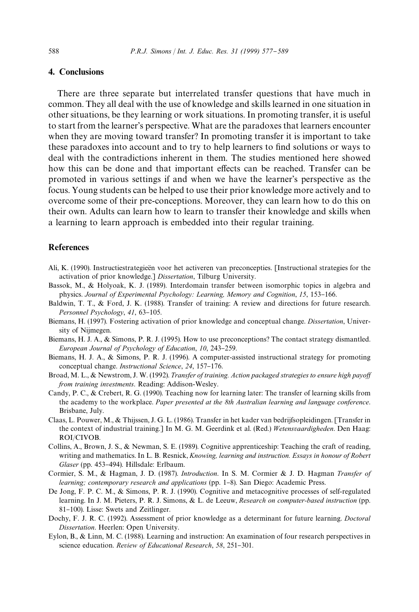# 4. Conclusions

There are three separate but interrelated transfer questions that have much in common. They all deal with the use of knowledge and skills learned in one situation in other situations, be they learning or work situations. In promoting transfer, it is useful to start from the learner's perspective. What are the paradoxes that learners encounter when they are moving toward transfer? In promoting transfer it is important to take these paradoxes into account and to try to help learners to find solutions or ways to deal with the contradictions inherent in them. The studies mentioned here showed how this can be done and that important effects can be reached. Transfer can be promoted in various settings if and when we have the learner's perspective as the focus. Young students can be helped to use their prior knowledge more actively and to overcome some of their pre-conceptions. Moreover, they can learn how to do this on their own. Adults can learn how to learn to transfer their knowledge and skills when a learning to learn approach is embedded into their regular training.

# References

- Ali, K. (1990). Instructiestrategieën voor het activeren van preconcepties. [Instructional strategies for the activation of prior knowledge.] *Dissertation*, Tilburg University.
- Bassok, M., & Holyoak, K. J. (1989). Interdomain transfer between isomorphic topics in algebra and physics. *Journal of Experimental Psychology: Learning, Memory and Cognition, 15, 153-166.*
- Baldwin, T. T., & Ford, J. K. (1988). Transfer of training: A review and directions for future research. *Personnel Psychology*, 41, 63-105.
- Biemans, H. (1997). Fostering activation of prior knowledge and conceptual change. *Dissertation*, University of Nijmegen.
- Biemans, H. J. A., & Simons, P. R. J. (1995). How to use preconceptions? The contact strategy dismantled. *European Journal of Psychology of Education, 10, 243-259.*
- Biemans, H. J. A., & Simons, P. R. J. (1996). A computer-assisted instructional strategy for promoting conceptual change. *Instructional Science*, 24, 157-176.
- Broad, M. L., & Newstrom, J. W. (1992). *Transfer of training. Action packaged strategies to ensure high payoff from training investments*. Reading: Addison-Wesley.
- Candy, P. C., & Crebert, R. G. (1990). Teaching now for learning later: The transfer of learning skills from the academy to the workplace. *Paper presented at the 8th Australian learning and language conference*. Brisbane, July.
- Claas, L. Pouwer, M., & Thijssen, J. G. L. (1986). Transfer in het kader van bedrijfsopleidingen. [Transfer in the context of industrial training.] In M. G. M. Geerdink et al. (Red.) *Wetensvaardigheden*. Den Haag: ROI/CIVOB.
- Collins, A., Brown, J. S., & Newman, S. E. (1989). Cognitive apprenticeship: Teaching the craft of reading, writing and mathematics. In L. B. Resnick, *Knowing, learning and instruction. Essays in honour of Robert* Glaser (pp. 453-494). Hillsdale: Erlbaum.
- Cormier, S. M., & Hagman, J. D. (1987). *Introduction*. In S. M. Cormier & J. D. Hagman *Transfer of learning; contemporary research and applications* (pp. 1–8). San Diego: Academic Press.
- De Jong, F. P. C. M., & Simons, P. R. J. (1990). Cognitive and metacognitive processes of self-regulated learning. In J. M. Pieters, P. R. J. Simons, & L. de Leeuw, *Research on computer-based instruction* (pp. 81-100). Lisse: Swets and Zeitlinger.
- Dochy, F. J. R. C. (1992). Assessment of prior knowledge as a determinant for future learning. *Doctoral Dissertation*. Heerlen: Open University.
- Eylon, B., & Linn, M. C. (1988). Learning and instruction: An examination of four research perspectives in science education. *Review of Educational Research*, 58, 251-301.